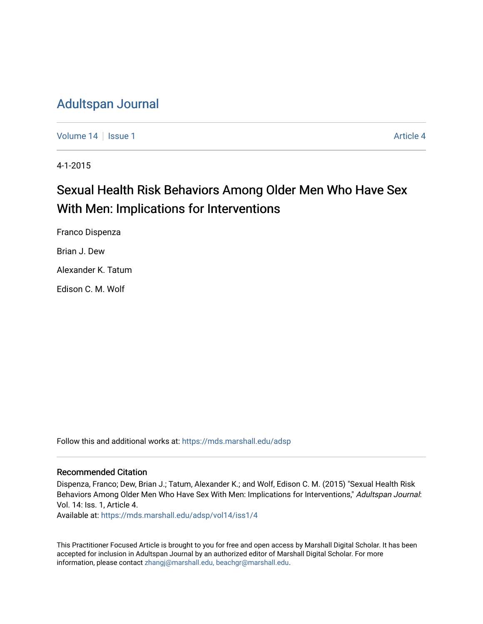## [Adultspan Journal](https://mds.marshall.edu/adsp)

[Volume 14](https://mds.marshall.edu/adsp/vol14) Suitsue 1 [Article 4](https://mds.marshall.edu/adsp/vol14/iss1/4) Article 4 Article 4

4-1-2015

## Sexual Health Risk Behaviors Among Older Men Who Have Sex With Men: Implications for Interventions

Franco Dispenza Brian J. Dew

Alexander K. Tatum

Edison C. M. Wolf

Follow this and additional works at: [https://mds.marshall.edu/adsp](https://mds.marshall.edu/adsp?utm_source=mds.marshall.edu%2Fadsp%2Fvol14%2Fiss1%2F4&utm_medium=PDF&utm_campaign=PDFCoverPages) 

### Recommended Citation

Dispenza, Franco; Dew, Brian J.; Tatum, Alexander K.; and Wolf, Edison C. M. (2015) "Sexual Health Risk Behaviors Among Older Men Who Have Sex With Men: Implications for Interventions," Adultspan Journal: Vol. 14: Iss. 1, Article 4.

Available at: [https://mds.marshall.edu/adsp/vol14/iss1/4](https://mds.marshall.edu/adsp/vol14/iss1/4?utm_source=mds.marshall.edu%2Fadsp%2Fvol14%2Fiss1%2F4&utm_medium=PDF&utm_campaign=PDFCoverPages) 

This Practitioner Focused Article is brought to you for free and open access by Marshall Digital Scholar. It has been accepted for inclusion in Adultspan Journal by an authorized editor of Marshall Digital Scholar. For more information, please contact [zhangj@marshall.edu, beachgr@marshall.edu](mailto:zhangj@marshall.edu,%20beachgr@marshall.edu).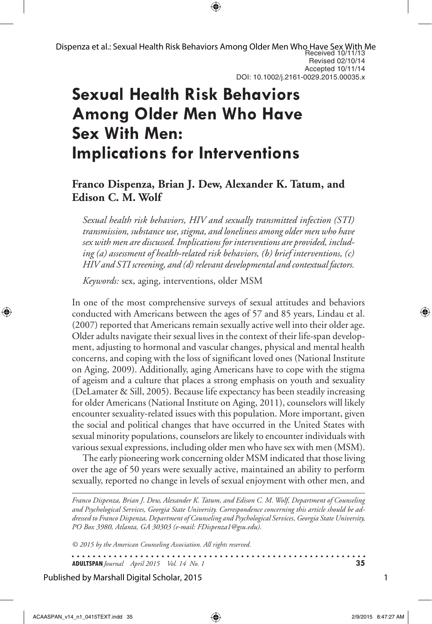# **Sexual Health Risk Behaviors Among Older Men Who Have Sex With Men: Implications for Interventions**

## **Franco Dispenza, Brian J. Dew, Alexander K. Tatum, and Edison C. M. Wolf**

*Sexual health risk behaviors, HIV and sexually transmitted infection (STI) transmission, substance use, stigma, and loneliness among older men who have sex with men are discussed. Implications for interventions are provided, including (a) assessment of health-related risk behaviors, (b) brief interventions, (c) HIV and STI screening, and (d) relevant developmental and contextual factors.*

*Keywords:* sex, aging, interventions, older MSM

In one of the most comprehensive surveys of sexual attitudes and behaviors conducted with Americans between the ages of 57 and 85 years, Lindau et al. (2007) reported that Americans remain sexually active well into their older age. Older adults navigate their sexual lives in the context of their life-span development, adjusting to hormonal and vascular changes, physical and mental health concerns, and coping with the loss of significant loved ones (National Institute on Aging, 2009). Additionally, aging Americans have to cope with the stigma of ageism and a culture that places a strong emphasis on youth and sexuality (DeLamater & Sill, 2005). Because life expectancy has been steadily increasing for older Americans (National Institute on Aging, 2011), counselors will likely encounter sexuality-related issues with this population. More important, given the social and political changes that have occurred in the United States with sexual minority populations, counselors are likely to encounter individuals with various sexual expressions, including older men who have sex with men (MSM).

The early pioneering work concerning older MSM indicated that those living over the age of 50 years were sexually active, maintained an ability to perform sexually, reported no change in levels of sexual enjoyment with other men, and

*Franco Dispenza, Brian J. Dew, Alexander K. Tatum, and Edison C. M. Wolf, Department of Counseling and Psychological Services, Georgia State University. Correspondence concerning this article should be addressed to Franco Dispenza, Department of Counseling and Psychological Services, Georgia State University, PO Box 3980, Atlanta, GA 30303 (e-mail: FDispenza1@gsu.edu).*

. . . . . . . . . . . . . . . . . .

*© 2015 by the American Counseling Association. All rights reserved.*

**ADULTSPAN***Journal April 2015 Vol. 14 No. 1* **35**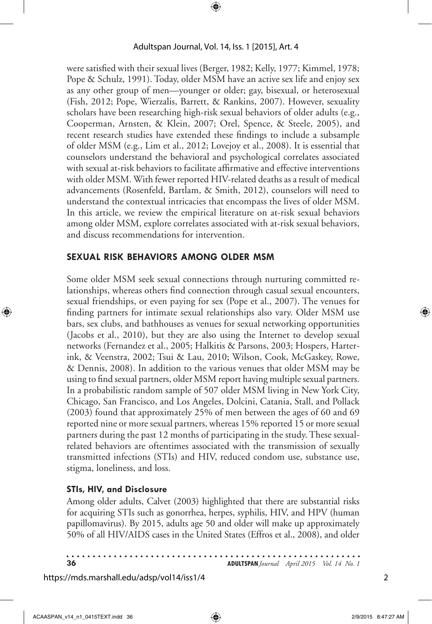were satisfied with their sexual lives (Berger, 1982; Kelly, 1977; Kimmel, 1978; Pope & Schulz, 1991). Today, older MSM have an active sex life and enjoy sex as any other group of men—younger or older; gay, bisexual, or heterosexual (Fish, 2012; Pope, Wierzalis, Barrett, & Rankins, 2007). However, sexuality scholars have been researching high-risk sexual behaviors of older adults (e.g., Cooperman, Arnsten, & Klein, 2007; Orel, Spence, & Steele, 2005), and recent research studies have extended these findings to include a subsample of older MSM (e.g., Lim et al., 2012; Lovejoy et al., 2008). It is essential that counselors understand the behavioral and psychological correlates associated with sexual at-risk behaviors to facilitate affirmative and effective interventions with older MSM. With fewer reported HIV-related deaths as a result of medical advancements (Rosenfeld, Bartlam, & Smith, 2012), counselors will need to understand the contextual intricacies that encompass the lives of older MSM. In this article, we review the empirical literature on at-risk sexual behaviors among older MSM, explore correlates associated with at-risk sexual behaviors, and discuss recommendations for intervention.

## **Sexual Risk Behaviors Among Older MSM**

Some older MSM seek sexual connections through nurturing committed relationships, whereas others find connection through casual sexual encounters, sexual friendships, or even paying for sex (Pope et al., 2007). The venues for finding partners for intimate sexual relationships also vary. Older MSM use bars, sex clubs, and bathhouses as venues for sexual networking opportunities (Jacobs et al., 2010), but they are also using the Internet to develop sexual networks (Fernandez et al., 2005; Halkitis & Parsons, 2003; Hospers, Harterink, & Veenstra, 2002; Tsui & Lau, 2010; Wilson, Cook, McGaskey, Rowe, & Dennis, 2008). In addition to the various venues that older MSM may be using to find sexual partners, older MSM report having multiple sexual partners. In a probabilistic random sample of 507 older MSM living in New York City, Chicago, San Francisco, and Los Angeles, Dolcini, Catania, Stall, and Pollack (2003) found that approximately 25% of men between the ages of 60 and 69 reported nine or more sexual partners, whereas 15% reported 15 or more sexual partners during the past 12 months of participating in the study. These sexualrelated behaviors are oftentimes associated with the transmission of sexually transmitted infections (STIs) and HIV, reduced condom use, substance use, stigma, loneliness, and loss.

## **STIs, HIV, and Disclosure**

Among older adults, Calvet (2003) highlighted that there are substantial risks for acquiring STIs such as gonorrhea, herpes, syphilis, HIV, and HPV (human papillomavirus). By 2015, adults age 50 and older will make up approximately 50% of all HIV/AIDS cases in the United States (Effros et al., 2008), and older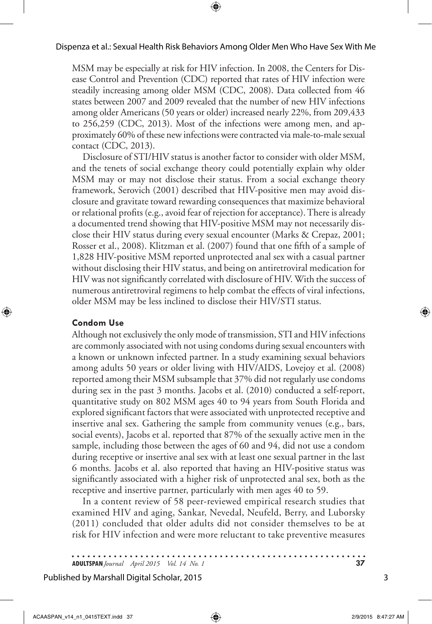MSM may be especially at risk for HIV infection. In 2008, the Centers for Disease Control and Prevention (CDC) reported that rates of HIV infection were steadily increasing among older MSM (CDC, 2008). Data collected from 46 states between 2007 and 2009 revealed that the number of new HIV infections among older Americans (50 years or older) increased nearly 22%, from 209,433 to 256,259 (CDC, 2013). Most of the infections were among men, and approximately 60% of these new infections were contracted via male-to-male sexual contact (CDC, 2013).

Disclosure of STI/HIV status is another factor to consider with older MSM, and the tenets of social exchange theory could potentially explain why older MSM may or may not disclose their status. From a social exchange theory framework, Serovich (2001) described that HIV-positive men may avoid disclosure and gravitate toward rewarding consequences that maximize behavioral or relational profits (e.g., avoid fear of rejection for acceptance). There is already a documented trend showing that HIV-positive MSM may not necessarily disclose their HIV status during every sexual encounter (Marks & Crepaz, 2001; Rosser et al., 2008). Klitzman et al. (2007) found that one fifth of a sample of 1,828 HIV-positive MSM reported unprotected anal sex with a casual partner without disclosing their HIV status, and being on antiretroviral medication for HIV was not significantly correlated with disclosure of HIV. With the success of numerous antiretroviral regimens to help combat the effects of viral infections, older MSM may be less inclined to disclose their HIV/STI status.

#### **Condom Use**

Although not exclusively the only mode of transmission, STI and HIV infections are commonly associated with not using condoms during sexual encounters with a known or unknown infected partner. In a study examining sexual behaviors among adults 50 years or older living with HIV/AIDS, Lovejoy et al. (2008) reported among their MSM subsample that 37% did not regularly use condoms during sex in the past 3 months. Jacobs et al. (2010) conducted a self-report, quantitative study on 802 MSM ages 40 to 94 years from South Florida and explored significant factors that were associated with unprotected receptive and insertive anal sex. Gathering the sample from community venues (e.g., bars, social events), Jacobs et al. reported that 87% of the sexually active men in the sample, including those between the ages of 60 and 94, did not use a condom during receptive or insertive anal sex with at least one sexual partner in the last 6 months. Jacobs et al. also reported that having an HIV-positive status was significantly associated with a higher risk of unprotected anal sex, both as the receptive and insertive partner, particularly with men ages 40 to 59.

In a content review of 58 peer-reviewed empirical research studies that examined HIV and aging, Sankar, Nevedal, Neufeld, Berry, and Luborsky (2011) concluded that older adults did not consider themselves to be at risk for HIV infection and were more reluctant to take preventive measures

**ADULTSPAN***Journal April 2015 Vol. 14 No. 1* **37**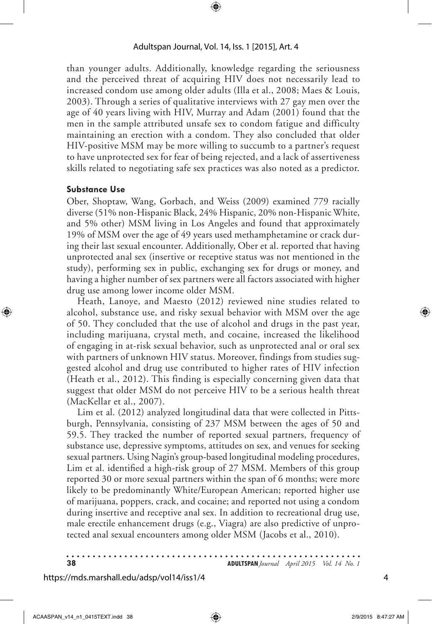than younger adults. Additionally, knowledge regarding the seriousness and the perceived threat of acquiring HIV does not necessarily lead to increased condom use among older adults (Illa et al., 2008; Maes & Louis, 2003). Through a series of qualitative interviews with 27 gay men over the age of 40 years living with HIV, Murray and Adam (2001) found that the men in the sample attributed unsafe sex to condom fatigue and difficulty maintaining an erection with a condom. They also concluded that older HIV-positive MSM may be more willing to succumb to a partner's request to have unprotected sex for fear of being rejected, and a lack of assertiveness skills related to negotiating safe sex practices was also noted as a predictor.

#### **Substance Use**

Ober, Shoptaw, Wang, Gorbach, and Weiss (2009) examined 779 racially diverse (51% non-Hispanic Black, 24% Hispanic, 20% non-Hispanic White, and 5% other) MSM living in Los Angeles and found that approximately 19% of MSM over the age of 49 years used methamphetamine or crack during their last sexual encounter. Additionally, Ober et al. reported that having unprotected anal sex (insertive or receptive status was not mentioned in the study), performing sex in public, exchanging sex for drugs or money, and having a higher number of sex partners were all factors associated with higher drug use among lower income older MSM.

Heath, Lanoye, and Maesto (2012) reviewed nine studies related to alcohol, substance use, and risky sexual behavior with MSM over the age of 50. They concluded that the use of alcohol and drugs in the past year, including marijuana, crystal meth, and cocaine, increased the likelihood of engaging in at-risk sexual behavior, such as unprotected anal or oral sex with partners of unknown HIV status. Moreover, findings from studies suggested alcohol and drug use contributed to higher rates of HIV infection (Heath et al., 2012). This finding is especially concerning given data that suggest that older MSM do not perceive HIV to be a serious health threat (MacKellar et al., 2007).

Lim et al. (2012) analyzed longitudinal data that were collected in Pittsburgh, Pennsylvania, consisting of 237 MSM between the ages of 50 and 59.5. They tracked the number of reported sexual partners, frequency of substance use, depressive symptoms, attitudes on sex, and venues for seeking sexual partners. Using Nagin's group-based longitudinal modeling procedures, Lim et al. identified a high-risk group of 27 MSM. Members of this group reported 30 or more sexual partners within the span of 6 months; were more likely to be predominantly White/European American; reported higher use of marijuana, poppers, crack, and cocaine; and reported not using a condom during insertive and receptive anal sex. In addition to recreational drug use, male erectile enhancement drugs (e.g., Viagra) are also predictive of unprotected anal sexual encounters among older MSM (Jacobs et al., 2010).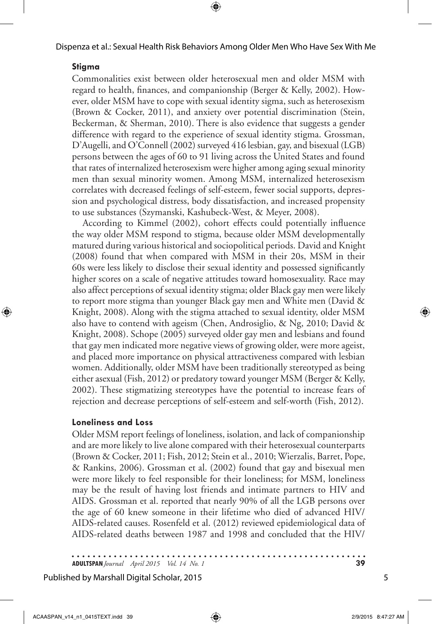## **Stigma**

Commonalities exist between older heterosexual men and older MSM with regard to health, finances, and companionship (Berger & Kelly, 2002). However, older MSM have to cope with sexual identity sigma, such as heterosexism (Brown & Cocker, 2011), and anxiety over potential discrimination (Stein, Beckerman, & Sherman, 2010). There is also evidence that suggests a gender difference with regard to the experience of sexual identity stigma. Grossman, D'Augelli, and O'Connell (2002) surveyed 416 lesbian, gay, and bisexual (LGB) persons between the ages of 60 to 91 living across the United States and found that rates of internalized heterosexism were higher among aging sexual minority men than sexual minority women. Among MSM, internalized heterosexism correlates with decreased feelings of self-esteem, fewer social supports, depression and psychological distress, body dissatisfaction, and increased propensity to use substances (Szymanski, Kashubeck-West, & Meyer, 2008).

According to Kimmel (2002), cohort effects could potentially influence the way older MSM respond to stigma, because older MSM developmentally matured during various historical and sociopolitical periods. David and Knight (2008) found that when compared with MSM in their 20s, MSM in their 60s were less likely to disclose their sexual identity and possessed significantly higher scores on a scale of negative attitudes toward homosexuality. Race may also affect perceptions of sexual identity stigma; older Black gay men were likely to report more stigma than younger Black gay men and White men (David & Knight, 2008). Along with the stigma attached to sexual identity, older MSM also have to contend with ageism (Chen, Androsiglio, & Ng, 2010; David & Knight, 2008). Schope (2005) surveyed older gay men and lesbians and found that gay men indicated more negative views of growing older, were more ageist, and placed more importance on physical attractiveness compared with lesbian women. Additionally, older MSM have been traditionally stereotyped as being either asexual (Fish, 2012) or predatory toward younger MSM (Berger & Kelly, 2002). These stigmatizing stereotypes have the potential to increase fears of rejection and decrease perceptions of self-esteem and self-worth (Fish, 2012).

## **Loneliness and Loss**

Older MSM report feelings of loneliness, isolation, and lack of companionship and are more likely to live alone compared with their heterosexual counterparts (Brown & Cocker, 2011; Fish, 2012; Stein et al., 2010; Wierzalis, Barret, Pope, & Rankins, 2006). Grossman et al. (2002) found that gay and bisexual men were more likely to feel responsible for their loneliness; for MSM, loneliness may be the result of having lost friends and intimate partners to HIV and AIDS. Grossman et al. reported that nearly 90% of all the LGB persons over the age of 60 knew someone in their lifetime who died of advanced HIV/ AIDS-related causes. Rosenfeld et al. (2012) reviewed epidemiological data of AIDS-related deaths between 1987 and 1998 and concluded that the HIV/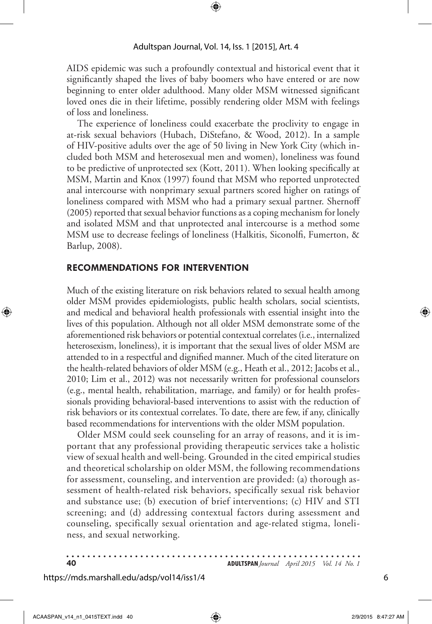AIDS epidemic was such a profoundly contextual and historical event that it significantly shaped the lives of baby boomers who have entered or are now beginning to enter older adulthood. Many older MSM witnessed significant loved ones die in their lifetime, possibly rendering older MSM with feelings of loss and loneliness.

The experience of loneliness could exacerbate the proclivity to engage in at-risk sexual behaviors (Hubach, DiStefano, & Wood, 2012). In a sample of HIV-positive adults over the age of 50 living in New York City (which included both MSM and heterosexual men and women), loneliness was found to be predictive of unprotected sex (Kott, 2011). When looking specifically at MSM, Martin and Knox (1997) found that MSM who reported unprotected anal intercourse with nonprimary sexual partners scored higher on ratings of loneliness compared with MSM who had a primary sexual partner. Shernoff (2005) reported that sexual behavior functions as a coping mechanism for lonely and isolated MSM and that unprotected anal intercourse is a method some MSM use to decrease feelings of loneliness (Halkitis, Siconolfi, Fumerton, & Barlup, 2008).

#### **Recommendations for Intervention**

Much of the existing literature on risk behaviors related to sexual health among older MSM provides epidemiologists, public health scholars, social scientists, and medical and behavioral health professionals with essential insight into the lives of this population. Although not all older MSM demonstrate some of the aforementioned risk behaviors or potential contextual correlates (i.e., internalized heterosexism, loneliness), it is important that the sexual lives of older MSM are attended to in a respectful and dignified manner. Much of the cited literature on the health-related behaviors of older MSM (e.g., Heath et al., 2012; Jacobs et al., 2010; Lim et al., 2012) was not necessarily written for professional counselors (e.g., mental health, rehabilitation, marriage, and family) or for health professionals providing behavioral-based interventions to assist with the reduction of risk behaviors or its contextual correlates. To date, there are few, if any, clinically based recommendations for interventions with the older MSM population.

Older MSM could seek counseling for an array of reasons, and it is important that any professional providing therapeutic services take a holistic view of sexual health and well-being. Grounded in the cited empirical studies and theoretical scholarship on older MSM, the following recommendations for assessment, counseling, and intervention are provided: (a) thorough assessment of health-related risk behaviors, specifically sexual risk behavior and substance use; (b) execution of brief interventions; (c) HIV and STI screening; and (d) addressing contextual factors during assessment and counseling, specifically sexual orientation and age-related stigma, loneliness, and sexual networking.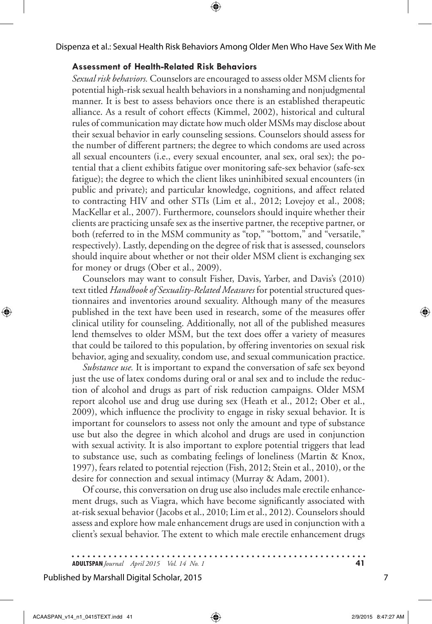#### **Assessment of Health-Related Risk Behaviors**

*Sexual risk behaviors.* Counselors are encouraged to assess older MSM clients for potential high-risk sexual health behaviors in a nonshaming and nonjudgmental manner. It is best to assess behaviors once there is an established therapeutic alliance. As a result of cohort effects (Kimmel, 2002), historical and cultural rules of communication may dictate how much older MSMs may disclose about their sexual behavior in early counseling sessions. Counselors should assess for the number of different partners; the degree to which condoms are used across all sexual encounters (i.e., every sexual encounter, anal sex, oral sex); the potential that a client exhibits fatigue over monitoring safe-sex behavior (safe-sex fatigue); the degree to which the client likes uninhibited sexual encounters (in public and private); and particular knowledge, cognitions, and affect related to contracting HIV and other STIs (Lim et al., 2012; Lovejoy et al., 2008; MacKellar et al., 2007). Furthermore, counselors should inquire whether their clients are practicing unsafe sex as the insertive partner, the receptive partner, or both (referred to in the MSM community as "top," "bottom," and "versatile," respectively). Lastly, depending on the degree of risk that is assessed, counselors should inquire about whether or not their older MSM client is exchanging sex for money or drugs (Ober et al., 2009).

Counselors may want to consult Fisher, Davis, Yarber, and Davis's (2010) text titled *Handbook of Sexuality-Related Measures* for potential structured questionnaires and inventories around sexuality. Although many of the measures published in the text have been used in research, some of the measures offer clinical utility for counseling. Additionally, not all of the published measures lend themselves to older MSM, but the text does offer a variety of measures that could be tailored to this population, by offering inventories on sexual risk behavior, aging and sexuality, condom use, and sexual communication practice.

*Substance use.* It is important to expand the conversation of safe sex beyond just the use of latex condoms during oral or anal sex and to include the reduction of alcohol and drugs as part of risk reduction campaigns. Older MSM report alcohol use and drug use during sex (Heath et al., 2012; Ober et al., 2009), which influence the proclivity to engage in risky sexual behavior. It is important for counselors to assess not only the amount and type of substance use but also the degree in which alcohol and drugs are used in conjunction with sexual activity. It is also important to explore potential triggers that lead to substance use, such as combating feelings of loneliness (Martin & Knox, 1997), fears related to potential rejection (Fish, 2012; Stein et al., 2010), or the desire for connection and sexual intimacy (Murray & Adam, 2001).

Of course, this conversation on drug use also includes male erectile enhancement drugs, such as Viagra, which have become significantly associated with at-risk sexual behavior (Jacobs et al., 2010; Lim et al., 2012). Counselors should assess and explore how male enhancement drugs are used in conjunction with a client's sexual behavior. The extent to which male erectile enhancement drugs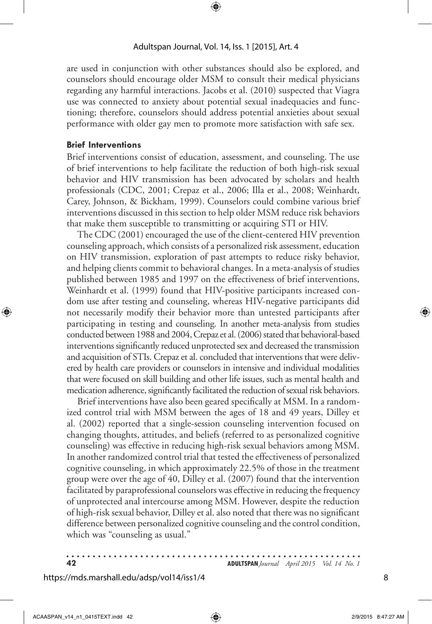are used in conjunction with other substances should also be explored, and counselors should encourage older MSM to consult their medical physicians regarding any harmful interactions. Jacobs et al. (2010) suspected that Viagra use was connected to anxiety about potential sexual inadequacies and functioning; therefore, counselors should address potential anxieties about sexual performance with older gay men to promote more satisfaction with safe sex.

#### **Brief Interventions**

Brief interventions consist of education, assessment, and counseling. The use of brief interventions to help facilitate the reduction of both high-risk sexual behavior and HIV transmission has been advocated by scholars and health professionals (CDC, 2001; Crepaz et al., 2006; Illa et al., 2008; Weinhardt, Carey, Johnson, & Bickham, 1999). Counselors could combine various brief interventions discussed in this section to help older MSM reduce risk behaviors that make them susceptible to transmitting or acquiring STI or HIV.

The CDC (2001) encouraged the use of the client-centered HIV prevention counseling approach, which consists of a personalized risk assessment, education on HIV transmission, exploration of past attempts to reduce risky behavior, and helping clients commit to behavioral changes. In a meta-analysis of studies published between 1985 and 1997 on the effectiveness of brief interventions, Weinhardt et al. (1999) found that HIV-positive participants increased condom use after testing and counseling, whereas HIV-negative participants did not necessarily modify their behavior more than untested participants after participating in testing and counseling. In another meta-analysis from studies conducted between 1988 and 2004, Crepaz et al. (2006) stated that behavioral-based interventions significantly reduced unprotected sex and decreased the transmission and acquisition of STIs. Crepaz et al. concluded that interventions that were delivered by health care providers or counselors in intensive and individual modalities that were focused on skill building and other life issues, such as mental health and medication adherence, significantly facilitated the reduction of sexual risk behaviors.

Brief interventions have also been geared specifically at MSM. In a randomized control trial with MSM between the ages of 18 and 49 years, Dilley et al. (2002) reported that a single-session counseling intervention focused on changing thoughts, attitudes, and beliefs (referred to as personalized cognitive counseling) was effective in reducing high-risk sexual behaviors among MSM. In another randomized control trial that tested the effectiveness of personalized cognitive counseling, in which approximately 22.5% of those in the treatment group were over the age of 40, Dilley et al. (2007) found that the intervention facilitated by paraprofessional counselors was effective in reducing the frequency of unprotected anal intercourse among MSM. However, despite the reduction of high-risk sexual behavior, Dilley et al. also noted that there was no significant difference between personalized cognitive counseling and the control condition, which was "counseling as usual."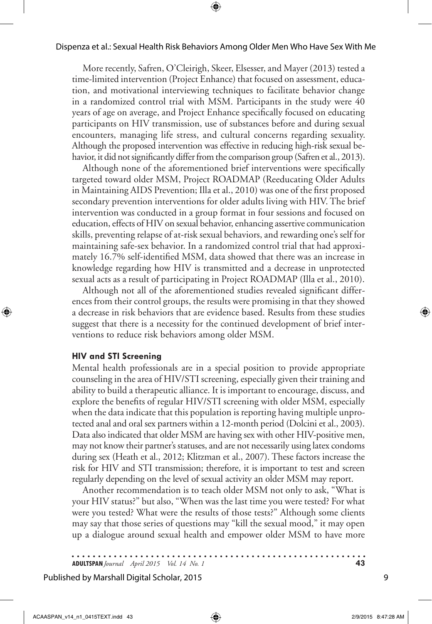More recently, Safren, O'Cleirigh, Skeer, Elsesser, and Mayer (2013) tested a time-limited intervention (Project Enhance) that focused on assessment, education, and motivational interviewing techniques to facilitate behavior change in a randomized control trial with MSM. Participants in the study were 40 years of age on average, and Project Enhance specifically focused on educating participants on HIV transmission, use of substances before and during sexual encounters, managing life stress, and cultural concerns regarding sexuality. Although the proposed intervention was effective in reducing high-risk sexual behavior, it did not significantly differ from the comparison group (Safren et al., 2013).

Although none of the aforementioned brief interventions were specifically targeted toward older MSM, Project ROADMAP (Reeducating Older Adults in Maintaining AIDS Prevention; Illa et al., 2010) was one of the first proposed secondary prevention interventions for older adults living with HIV. The brief intervention was conducted in a group format in four sessions and focused on education, effects of HIV on sexual behavior, enhancing assertive communication skills, preventing relapse of at-risk sexual behaviors, and rewarding one's self for maintaining safe-sex behavior. In a randomized control trial that had approximately 16.7% self-identified MSM, data showed that there was an increase in knowledge regarding how HIV is transmitted and a decrease in unprotected sexual acts as a result of participating in Project ROADMAP (Illa et al., 2010).

Although not all of the aforementioned studies revealed significant differences from their control groups, the results were promising in that they showed a decrease in risk behaviors that are evidence based. Results from these studies suggest that there is a necessity for the continued development of brief interventions to reduce risk behaviors among older MSM.

#### **HIV and STI Screening**

Mental health professionals are in a special position to provide appropriate counseling in the area of HIV/STI screening, especially given their training and ability to build a therapeutic alliance. It is important to encourage, discuss, and explore the benefits of regular HIV/STI screening with older MSM, especially when the data indicate that this population is reporting having multiple unprotected anal and oral sex partners within a 12-month period (Dolcini et al., 2003). Data also indicated that older MSM are having sex with other HIV-positive men, may not know their partner's statuses, and are not necessarily using latex condoms during sex (Heath et al., 2012; Klitzman et al., 2007). These factors increase the risk for HIV and STI transmission; therefore, it is important to test and screen regularly depending on the level of sexual activity an older MSM may report.

Another recommendation is to teach older MSM not only to ask, "What is your HIV status?" but also, "When was the last time you were tested? For what were you tested? What were the results of those tests?" Although some clients may say that those series of questions may "kill the sexual mood," it may open up a dialogue around sexual health and empower older MSM to have more

**ADULTSPAN***Journal April 2015 Vol. 14 No. 1* **43**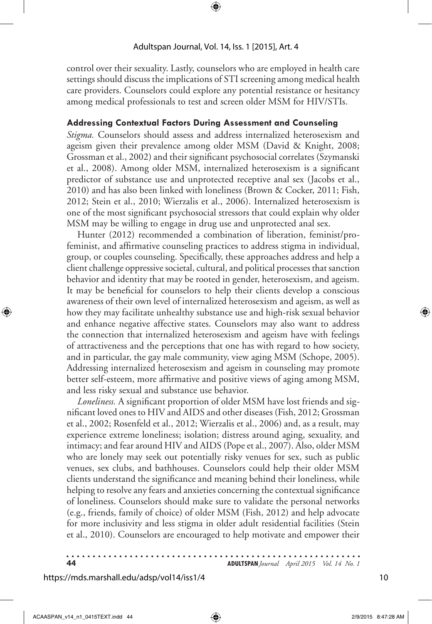control over their sexuality. Lastly, counselors who are employed in health care settings should discuss the implications of STI screening among medical health care providers. Counselors could explore any potential resistance or hesitancy among medical professionals to test and screen older MSM for HIV/STIs.

## **Addressing Contextual Factors During Assessment and Counseling**

*Stigma.* Counselors should assess and address internalized heterosexism and ageism given their prevalence among older MSM (David & Knight, 2008; Grossman et al., 2002) and their significant psychosocial correlates (Szymanski et al., 2008). Among older MSM, internalized heterosexism is a significant predictor of substance use and unprotected receptive anal sex (Jacobs et al., 2010) and has also been linked with loneliness (Brown & Cocker, 2011; Fish, 2012; Stein et al., 2010; Wierzalis et al., 2006). Internalized heterosexism is one of the most significant psychosocial stressors that could explain why older MSM may be willing to engage in drug use and unprotected anal sex.

Hunter (2012) recommended a combination of liberation, feminist/profeminist, and affirmative counseling practices to address stigma in individual, group, or couples counseling. Specifically, these approaches address and help a client challenge oppressive societal, cultural, and political processes that sanction behavior and identity that may be rooted in gender, heterosexism, and ageism. It may be beneficial for counselors to help their clients develop a conscious awareness of their own level of internalized heterosexism and ageism, as well as how they may facilitate unhealthy substance use and high-risk sexual behavior and enhance negative affective states. Counselors may also want to address the connection that internalized heterosexism and ageism have with feelings of attractiveness and the perceptions that one has with regard to how society, and in particular, the gay male community, view aging MSM (Schope, 2005). Addressing internalized heterosexism and ageism in counseling may promote better self-esteem, more affirmative and positive views of aging among MSM, and less risky sexual and substance use behavior.

*Loneliness.* A significant proportion of older MSM have lost friends and significant loved ones to HIV and AIDS and other diseases (Fish, 2012; Grossman et al., 2002; Rosenfeld et al., 2012; Wierzalis et al., 2006) and, as a result, may experience extreme loneliness; isolation; distress around aging, sexuality, and intimacy; and fear around HIV and AIDS (Pope et al., 2007). Also, older MSM who are lonely may seek out potentially risky venues for sex, such as public venues, sex clubs, and bathhouses. Counselors could help their older MSM clients understand the significance and meaning behind their loneliness, while helping to resolve any fears and anxieties concerning the contextual significance of loneliness. Counselors should make sure to validate the personal networks (e.g., friends, family of choice) of older MSM (Fish, 2012) and help advocate for more inclusivity and less stigma in older adult residential facilities (Stein et al., 2010). Counselors are encouraged to help motivate and empower their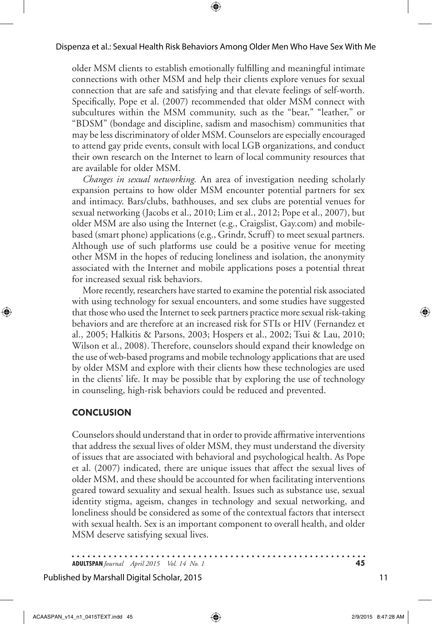older MSM clients to establish emotionally fulfilling and meaningful intimate connections with other MSM and help their clients explore venues for sexual connection that are safe and satisfying and that elevate feelings of self-worth. Specifically, Pope et al. (2007) recommended that older MSM connect with subcultures within the MSM community, such as the "bear," "leather," or "BDSM" (bondage and discipline, sadism and masochism) communities that may be less discriminatory of older MSM. Counselors are especially encouraged to attend gay pride events, consult with local LGB organizations, and conduct their own research on the Internet to learn of local community resources that are available for older MSM.

*Changes in sexual networking.* An area of investigation needing scholarly expansion pertains to how older MSM encounter potential partners for sex and intimacy. Bars/clubs, bathhouses, and sex clubs are potential venues for sexual networking (Jacobs et al., 2010; Lim et al., 2012; Pope et al., 2007), but older MSM are also using the Internet (e.g., Craigslist, Gay.com) and mobilebased (smart phone) applications (e.g., Grindr, Scruff) to meet sexual partners. Although use of such platforms use could be a positive venue for meeting other MSM in the hopes of reducing loneliness and isolation, the anonymity associated with the Internet and mobile applications poses a potential threat for increased sexual risk behaviors.

More recently, researchers have started to examine the potential risk associated with using technology for sexual encounters, and some studies have suggested that those who used the Internet to seek partners practice more sexual risk-taking behaviors and are therefore at an increased risk for STIs or HIV (Fernandez et al., 2005; Halkitis & Parsons, 2003; Hospers et al., 2002; Tsui & Lau, 2010; Wilson et al., 2008). Therefore, counselors should expand their knowledge on the use of web-based programs and mobile technology applications that are used by older MSM and explore with their clients how these technologies are used in the clients' life. It may be possible that by exploring the use of technology in counseling, high-risk behaviors could be reduced and prevented.

## **Conclusion**

Counselors should understand that in order to provide affirmative interventions that address the sexual lives of older MSM, they must understand the diversity of issues that are associated with behavioral and psychological health. As Pope et al. (2007) indicated, there are unique issues that affect the sexual lives of older MSM, and these should be accounted for when facilitating interventions geared toward sexuality and sexual health. Issues such as substance use, sexual identity stigma, ageism, changes in technology and sexual networking, and loneliness should be considered as some of the contextual factors that intersect with sexual health. Sex is an important component to overall health, and older MSM deserve satisfying sexual lives.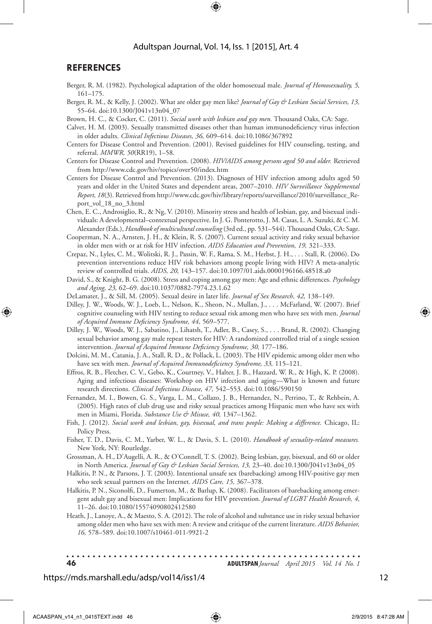#### Adultspan Journal, Vol. 14, Iss. 1 [2015], Art. 4

#### **References**

- Berger, R. M. (1982). Psychological adaptation of the older homosexual male. *Journal of Homosexuality, 5,*  161–175.
- Berger, R. M., & Kelly, J. (2002). What are older gay men like? *Journal of Gay & Lesbian Social Services, 13,* 55–64. doi:10.1300/J041v13n04\_07
- Brown, H. C., & Cocker, C. (2011). *Social work with lesbian and gay men.* Thousand Oaks, CA: Sage.
- Calvet, H. M. (2003). Sexually transmitted diseases other than human immunodeficiency virus infection in older adults. *Clinical Infectious Diseases, 36,* 609–614. doi:10.1086/367892
- Centers for Disease Control and Prevention. (2001). Revised guidelines for HIV counseling, testing, and referral. *MMWR, 50*(RR19), 1–58.
- Centers for Disease Control and Prevention. (2008). *HIV/AIDS among persons aged 50 and older.* Retrieved from http://www.cdc.gov/hiv/topics/over50/index.htm
- Centers for Disease Control and Prevention. (2013). Diagnoses of HIV infection among adults aged 50 years and older in the United States and dependent areas, 2007–2010. *HIV Surveillance Supplemental Report, 18*(3). Retrieved from http://www.cdc.gov/hiv/library/reports/surveillance/2010/surveillance\_Report\_vol\_18\_no\_3.html
- Chen, E. C., Androsiglio, R., & Ng, V. (2010). Minority stress and health of lesbian, gay, and bisexual individuals: A developmental–contextual perspective. In J. G. Ponterotto, J. M. Casas, L. A. Suzuki, & C. M. Alexander (Eds.), *Handbook of multicultural counseling* (3rd ed., pp. 531–544). Thousand Oaks, CA: Sage.
- Cooperman, N. A., Arnsten, J. H., & Klein, R. S. (2007). Current sexual activity and risky sexual behavior in older men with or at risk for HIV infection. *AIDS Education and Prevention, 19,* 321–333.
- Crepaz, N., Lyles, C. M., Wolitski, R. J., Passin, W. F., Rama, S. M., Herbst, J. H., . . . Stall, R. (2006). Do prevention interventions reduce HIV risk behaviors among people living with HIV? A meta-analytic review of controlled trials. *AIDS, 20,* 143–157. doi:10.1097/01.aids.0000196166.48518.a0
- David, S., & Knight, B. G. (2008). Stress and coping among gay men: Age and ethnic differences. *Psychology and Aging, 23,* 62–69. doi:10.1037/0882-7974.23.1.62
- DeLamater, J., & Sill, M. (2005). Sexual desire in later life. *Journal of Sex Research, 42,* 138–149.
- Dilley, J. W., Woods, W. J., Loeb, L., Nelson, K., Sheon, N., Mullan, J., . . . McFarland, W. (2007). Brief cognitive counseling with HIV testing to reduce sexual risk among men who have sex with men. *Journal of Acquired Immune Deficiency Syndrome, 44,* 569–577.
- Dilley, J. W., Woods, W. J., Sabatino, J., Lihatsh, T., Adler, B., Casey, S., . . . Brand, R. (2002). Changing sexual behavior among gay male repeat testers for HIV: A randomized controlled trial of a single session intervention. *Journal of Acquired Immune Deficiency Syndrome, 30,* 177–186.
- Dolcini, M. M., Catania, J. A., Stall, R. D., & Pollack, L. (2003). The HIV epidemic among older men who have sex with men. *Journal of Acquired Immunodeficiency Syndrome, 33,* 115–121.
- Effros, R. B., Fletcher, C. V., Gebo, K., Courtney, V., Halter, J. B., Hazzard, W. R., & High, K. P. (2008). Aging and infectious diseases: Workshop on HIV infection and aging—What is known and future research directions. *Clinical Infectious Disease, 47,* 542–553. doi:10.1086/590150
- Fernandez, M. I., Bowen, G. S., Varga, L. M., Collazo, J. B., Hernandez, N., Perrino, T., & Rehbein, A. (2005). High rates of club drug use and risky sexual practices among Hispanic men who have sex with men in Miami, Florida. *Substance Use & Misuse, 40,* 1347–1362.
- Fish, J. (2012). *Social work and lesbian, gay, bisexual, and trans people: Making a difference.* Chicago, IL: Policy Press.
- Fisher, T. D., Davis, C. M., Yarber, W. L., & Davis, S. L. (2010). *Handbook of sexuality-related measures.* New York, NY: Routledge.
- Grossman, A. H., D'Augelli, A. R., & O'Connell, T. S. (2002). Being lesbian, gay, bisexual, and 60 or older in North America. *Journal of Gay & Lesbian Social Services, 13,* 23–40. doi:10.1300/J041v13n04\_05
- Halkitis, P. N., & Parsons, J. T. (2003). Intentional unsafe sex (barebacking) among HIV-positive gay men who seek sexual partners on the Internet. *AIDS Care, 15,* 367–378.
- Halkitis, P. N., Siconolfi, D., Fumerton, M., & Barlup, K. (2008). Facilitators of barebacking among emergent adult gay and bisexual men: Implications for HIV prevention. *Journal of LGBT Health Research, 4,* 11–26. doi:10.1080/15574090802412580
- Heath, J., Lanoye, A., & Maesto, S. A. (2012). The role of alcohol and substance use in risky sexual behavior among older men who have sex with men: A review and critique of the current literature. *AIDS Behavior, 16,* 578–589. doi:10.1007/s10461-011-9921-2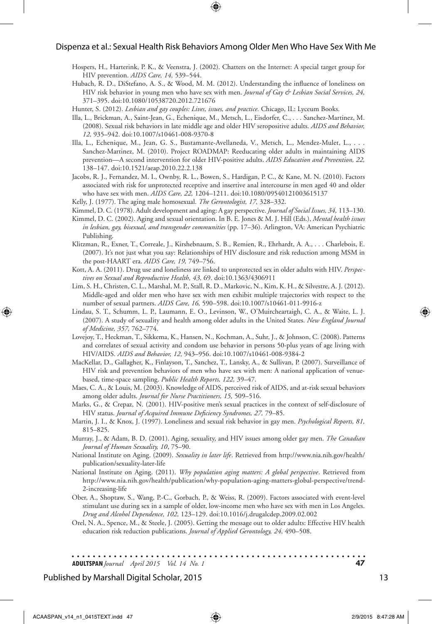- Hospers, H., Harterink, P. K., & Veenstra, J. (2002). Chatters on the Internet: A special target group for HIV prevention. *AIDS Care, 14,* 539–544.
- Hubach, R. D., DiStefano, A. S., & Wood, M. M. (2012). Understanding the influence of loneliness on HIV risk behavior in young men who have sex with men. *Journal of Gay & Lesbian Social Services, 24,* 371–395. doi:10.1080/10538720.2012.721676
- Hunter, S. (2012). *Lesbian and gay couples: Lives, issues, and practice.* Chicago, IL: Lyceum Books.
- Illa, L., Brickman, A., Saint-Jean, G., Echenique, M., Metsch, L., Eisdorfer, C., . . . Sanchez-Martinez, M. (2008). Sexual risk behaviors in late middle age and older HIV seropositive adults. *AIDS and Behavior, 12,* 935–942. doi:10.1007/s10461-008-9370-8
- Illa, L., Echenique, M., Jean, G. S., Bustamante-Avellaneda, V., Metsch, L., Mendez-Mulet, L., . . . Sanchez-Martinez, M. (2010). Project ROADMAP: Reeducating older adults in maintaining AIDS prevention—A second intervention for older HIV-positive adults. *AIDS Education and Prevention, 22,* 138–147. doi:10.1521/aeap.2010.22.2.138
- Jacobs, R. J., Fernandez, M. I., Ownby, R. L., Bowen, S., Hardigan, P. C., & Kane, M. N. (2010). Factors associated with risk for unprotected receptive and insertive anal intercourse in men aged 40 and older who have sex with men. *AIDS Care, 22,* 1204–1211. doi:10.1080/09540121003615137
- Kelly, J. (1977). The aging male homosexual. *The Gerontologist, 17,* 328–332.
- Kimmel, D. C. (1978). Adult development and aging: A gay perspective. *Journal of Social Issues, 34,* 113–130.
- Kimmel, D. C. (2002). Aging and sexual orientation. In B. E. Jones & M. J. Hill (Eds.), *Mental health issues in lesbian, gay, bisexual, and transgender communities* (pp. 17–36). Arlington, VA: American Psychiatric Publishing.
- Klitzman, R., Exner, T., Correale, J., Kirshebnaum, S. B., Remien, R., Ehrhardt, A. A., . . . Charlebois, E. (2007). It's not just what you say: Relationships of HIV disclosure and risk reduction among MSM in the post-HAART era. *AIDS Care, 19,* 749–756.
- Kott, A. A. (2011). Drug use and loneliness are linked to unprotected sex in older adults with HIV. *Perspectives on Sexual and Reproductive Health, 43,* 69. doi:10.1363/4306911
- Lim, S. H., Christen, C. L., Marshal, M. P., Stall, R. D., Markovic, N., Kim, K. H., & Silvestre, A. J. (2012). Middle-aged and older men who have sex with men exhibit multiple trajectories with respect to the number of sexual partners. *AIDS Care, 16,* 590–598. doi:10.1007/s10461-011-9916-z
- Lindau, S. T., Schumm, L. P., Laumann, E. O., Levinson, W., O'Muircheartaigh, C. A., & Waite, L. J. (2007). A study of sexuality and health among older adults in the United States. *New England Journal of Medicine, 357,* 762–774.
- Lovejoy, T., Heckman, T., Sikkema, K., Hansen, N., Kochman, A., Suhr, J., & Johnson, C. (2008). Patterns and correlates of sexual activity and condom use behavior in persons 50-plus years of age living with HIV/AIDS. *AIDS and Behavior, 12,* 943–956. doi:10.1007/s10461-008-9384-2
- MacKellar, D., Gallagher, K., Finlayson, T., Sanchez, T., Lansky, A., & Sullivan, P. (2007). Surveillance of HIV risk and prevention behaviors of men who have sex with men: A national application of venuebased, time-space sampling. *Public Health Reports, 122,* 39–47.
- Maes, C. A., & Louis, M. (2003). Knowledge of AIDS, perceived risk of AIDS, and at-risk sexual behaviors among older adults. *Journal for Nurse Practitioners, 15,* 509–516.
- Marks, G., & Crepaz, N. (2001). HIV-positive men's sexual practices in the context of self-disclosure of HIV status. *Journal of Acquired Immune Deficiency Syndromes, 27,* 79–85.
- Martin, J. I., & Knox, J. (1997). Loneliness and sexual risk behavior in gay men. *Psychological Reports, 81,* 815–825.
- Murray, J., & Adam, B. D. (2001). Aging, sexuality, and HIV issues among older gay men. *The Canadian Journal of Human Sexuality, 10*, 75–90.
- National Institute on Aging. (2009). *Sexuality in later life*. Retrieved from http://www.nia.nih.gov/health/ publication/sexuality-later-life
- National Institute on Aging. (2011). *Why population aging matters: A global perspective*. Retrieved from http://www.nia.nih.gov/health/publication/why-population-aging-matters-global-perspective/trend-2-increasing-life
- Ober, A., Shoptaw, S., Wang, P.-C., Gorbach, P., & Weiss, R. (2009). Factors associated with event-level stimulant use during sex in a sample of older, low-income men who have sex with men in Los Angeles. *Drug and Alcohol Dependence, 102,* 123–129. doi:10.1016/j.drugalcdep.2009.02.002
- Orel, N. A., Spence, M., & Steele, J. (2005). Getting the message out to older adults: Effective HIV health education risk reduction publications. *Journal of Applied Gerontology, 24,* 490–508.

. . . . . . . . . . . . . . . . **ADULTSPAN***Journal April 2015 Vol. 14 No. 1* **47**